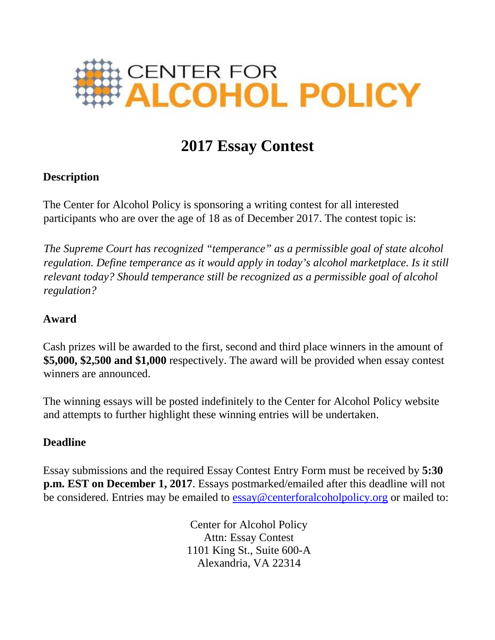

# **2017 Essay Contest**

# **Description**

The Center for Alcohol Policy is sponsoring a writing contest for all interested participants who are over the age of 18 as of December 2017. The contest topic is:

*The Supreme Court has recognized "temperance" as a permissible goal of state alcohol regulation. Define temperance as it would apply in today's alcohol marketplace. Is it still relevant today? Should temperance still be recognized as a permissible goal of alcohol regulation?*

### **Award**

Cash prizes will be awarded to the first, second and third place winners in the amount of **\$5,000, \$2,500 and \$1,000** respectively. The award will be provided when essay contest winners are announced.

The winning essays will be posted indefinitely to the Center for Alcohol Policy website and attempts to further highlight these winning entries will be undertaken.

#### **Deadline**

Essay submissions and the required Essay Contest Entry Form must be received by **5:30 p.m. EST on December 1, 2017**. Essays postmarked/emailed after this deadline will not be considered. Entries may be emailed to essay@centerforalcoholpolicy.org or mailed to:

> Center for Alcohol Policy Attn: Essay Contest 1101 King St., Suite 600-A Alexandria, VA 22314